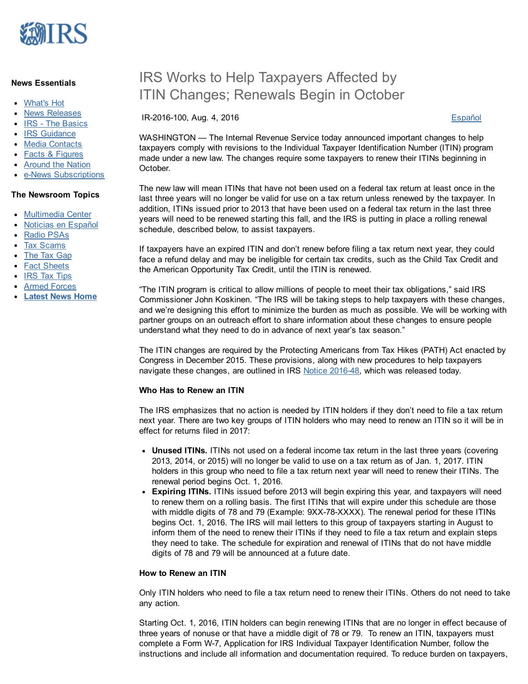

#### News Essentials

- [What's](https://www.irs.gov/uac/whats-hot) Hot
- News [Releases](https://www.irs.gov/uac/newsroom/news-releases-for-current-month)
- IRS The [Basics](https://www.irs.gov/uac/irs-the-basics)
- IRS [Guidance](https://www.irs.gov/uac/irs-guidance)
- Media [Contacts](https://www.irs.gov/uac/irs-media-relations-offices-contact-numbers)
- Facts & [Figures](https://www.irs.gov/uac/facts-figures)
- [Around](https://www.irs.gov/uac/around-the-nation) the Nation
- **e-News [Subscriptions](https://www.irs.gov/uac/e-news-subscriptions-2)**

#### The Newsroom Topics

- [Multimedia](https://www.irs.gov/uac/multimedia-center) Center
- Noticias en [Español](https://www.irs.gov/spanish/noticias-en-espanol)
- Radio [PSAs](https://www.irs.gov/uac/irs-radio-psas)
- Tax [Scams](https://www.irs.gov/uac/tax-scams-consumer-alerts)
- The Tax [Gap](https://www.irs.gov/uac/the-tax-gap)
- Fact [Sheets](https://www.irs.gov/uac/newsroom/current-fact-sheets)
- IRS Tax [Tips](https://www.irs.gov/uac/irs-tax-tips)
- Armed [Forces](https://www.irs.gov/uac/tax-information-for-members-of-the-u-s-armed-forces)
- [Latest](https://www.irs.gov/uac/latest-news) News Home

# IRS Works to Help Taxpayers Affected by ITIN Changes; Renewals Begin in October

IR2016100, Aug. 4, 2016 [Español](https://www.irs.gov/uac/newsroom/irs-trabaja-para-ayudar-a-los-contribuyentes-afectados-por-cambios-a-los-itin-las-renovaciones-comenzaran-en-octubre)

WASHINGTON — The Internal Revenue Service today announced important changes to help taxpayers comply with revisions to the Individual Taxpayer Identification Number (ITIN) program made under a new law. The changes require some taxpayers to renew their ITINs beginning in October.

The new law will mean ITINs that have not been used on a federal tax return at least once in the last three years will no longer be valid for use on a tax return unless renewed by the taxpayer. In addition, ITINs issued prior to 2013 that have been used on a federal tax return in the last three years will need to be renewed starting this fall, and the IRS is putting in place a rolling renewal schedule, described below, to assist taxpayers.

If taxpayers have an expired ITIN and don't renew before filing a tax return next year, they could face a refund delay and may be ineligible for certain tax credits, such as the Child Tax Credit and the American Opportunity Tax Credit, until the ITIN is renewed.

"The ITIN program is critical to allow millions of people to meet their tax obligations," said IRS Commissioner John Koskinen. "The IRS will be taking steps to help taxpayers with these changes, and we're designing this effort to minimize the burden as much as possible. We will be working with partner groups on an outreach effort to share information about these changes to ensure people understand what they need to do in advance of next year's tax season."

The ITIN changes are required by the Protecting Americans from Tax Hikes (PATH) Act enacted by Congress in December 2015. These provisions, along with new procedures to help taxpayers navigate these changes, are outlined in IRS Notice 2016-48, which was released today.

### Who Has to Renew an ITIN

The IRS emphasizes that no action is needed by ITIN holders if they don't need to file a tax return next year. There are two key groups of ITIN holders who may need to renew an ITIN so it will be in effect for returns filed in 2017:

- Unused ITINs. ITINs not used on a federal income tax return in the last three years (covering 2013, 2014, or 2015) will no longer be valid to use on a tax return as of Jan. 1, 2017. ITIN holders in this group who need to file a tax return next year will need to renew their ITINs. The renewal period begins Oct. 1, 2016.
- Expiring ITINs. ITINs issued before 2013 will begin expiring this year, and taxpayers will need to renew them on a rolling basis. The first ITINs that will expire under this schedule are those with middle digits of 78 and 79 (Example:  $9XX-78-XXXX$ ). The renewal period for these ITINs begins Oct. 1, 2016. The IRS will mail letters to this group of taxpayers starting in August to inform them of the need to renew their ITINs if they need to file a tax return and explain steps they need to take. The schedule for expiration and renewal of ITINs that do not have middle digits of 78 and 79 will be announced at a future date.

#### How to Renew an ITIN

Only ITIN holders who need to file a tax return need to renew their ITINs. Others do not need to take any action.

Starting Oct. 1, 2016, ITIN holders can begin renewing ITINs that are no longer in effect because of three years of nonuse or that have a middle digit of 78 or 79. To renew an ITIN, taxpayers must complete a Form W-7, Application for IRS Individual Taxpayer Identification Number, follow the instructions and include all information and documentation required. To reduce burden on taxpayers,